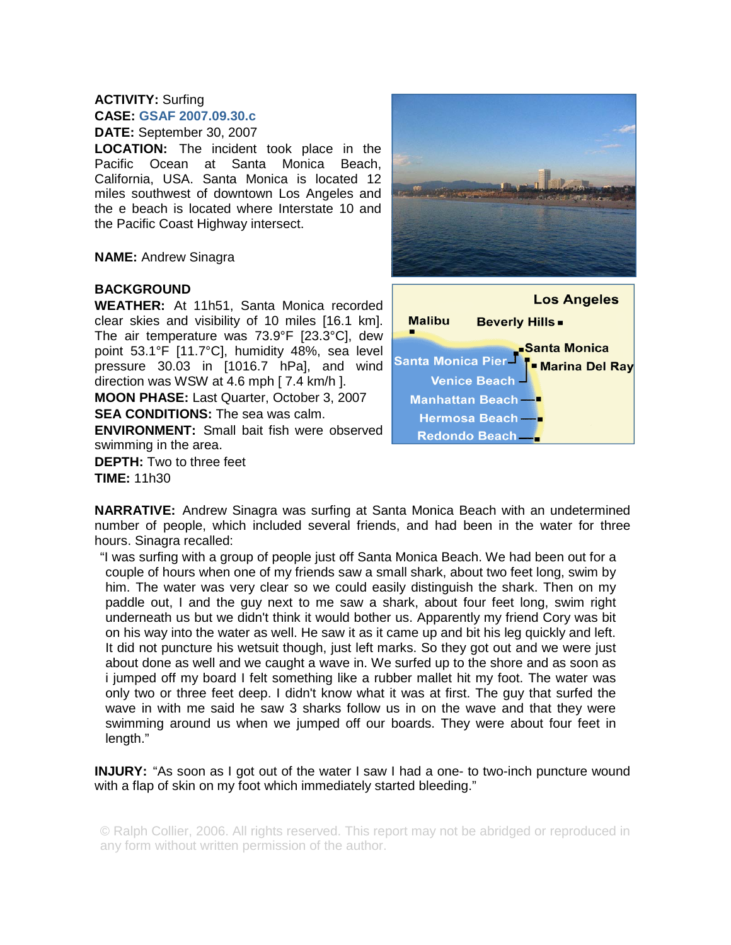## **ACTIVITY:** Surfing **CASE: GSAF 2007.09.30.c DATE:** September 30, 2007

**LOCATION:** The incident took place in the Pacific Ocean at Santa Monica Beach, California, USA. Santa Monica is located 12 miles southwest of downtown Los Angeles and the e beach is located where Interstate 10 and the Pacific Coast Highway intersect.

**NAME:** Andrew Sinagra

## **BACKGROUND**

**WEATHER:** At 11h51, Santa Monica recorded clear skies and visibility of 10 miles [16.1 km]. The air temperature was 73.9°F [23.3°C], dew point 53.1°F [11.7°C], humidity 48%, sea level pressure 30.03 in [1016.7 hPa], and wind direction was WSW at 4.6 mph [ 7.4 km/h ]. **MOON PHASE:** Last Quarter, October 3, 2007 **SEA CONDITIONS:** The sea was calm. **ENVIRONMENT:** Small bait fish were observed swimming in the area.

**DEPTH:** Two to three feet **TIME:** 11h30





**NARRATIVE:** Andrew Sinagra was surfing at Santa Monica Beach with an undetermined number of people, which included several friends, and had been in the water for three hours. Sinagra recalled:

"I was surfing with a group of people just off Santa Monica Beach. We had been out for a couple of hours when one of my friends saw a small shark, about two feet long, swim by him. The water was very clear so we could easily distinguish the shark. Then on my paddle out, I and the guy next to me saw a shark, about four feet long, swim right underneath us but we didn't think it would bother us. Apparently my friend Cory was bit on his way into the water as well. He saw it as it came up and bit his leg quickly and left. It did not puncture his wetsuit though, just left marks. So they got out and we were just about done as well and we caught a wave in. We surfed up to the shore and as soon as i jumped off my board I felt something like a rubber mallet hit my foot. The water was only two or three feet deep. I didn't know what it was at first. The guy that surfed the wave in with me said he saw 3 sharks follow us in on the wave and that they were swimming around us when we jumped off our boards. They were about four feet in length."

**INJURY:** "As soon as I got out of the water I saw I had a one- to two-inch puncture wound with a flap of skin on my foot which immediately started bleeding."

© Ralph Collier, 2006. All rights reserved. This report may not be abridged or reproduced in any form without written permission of the author.